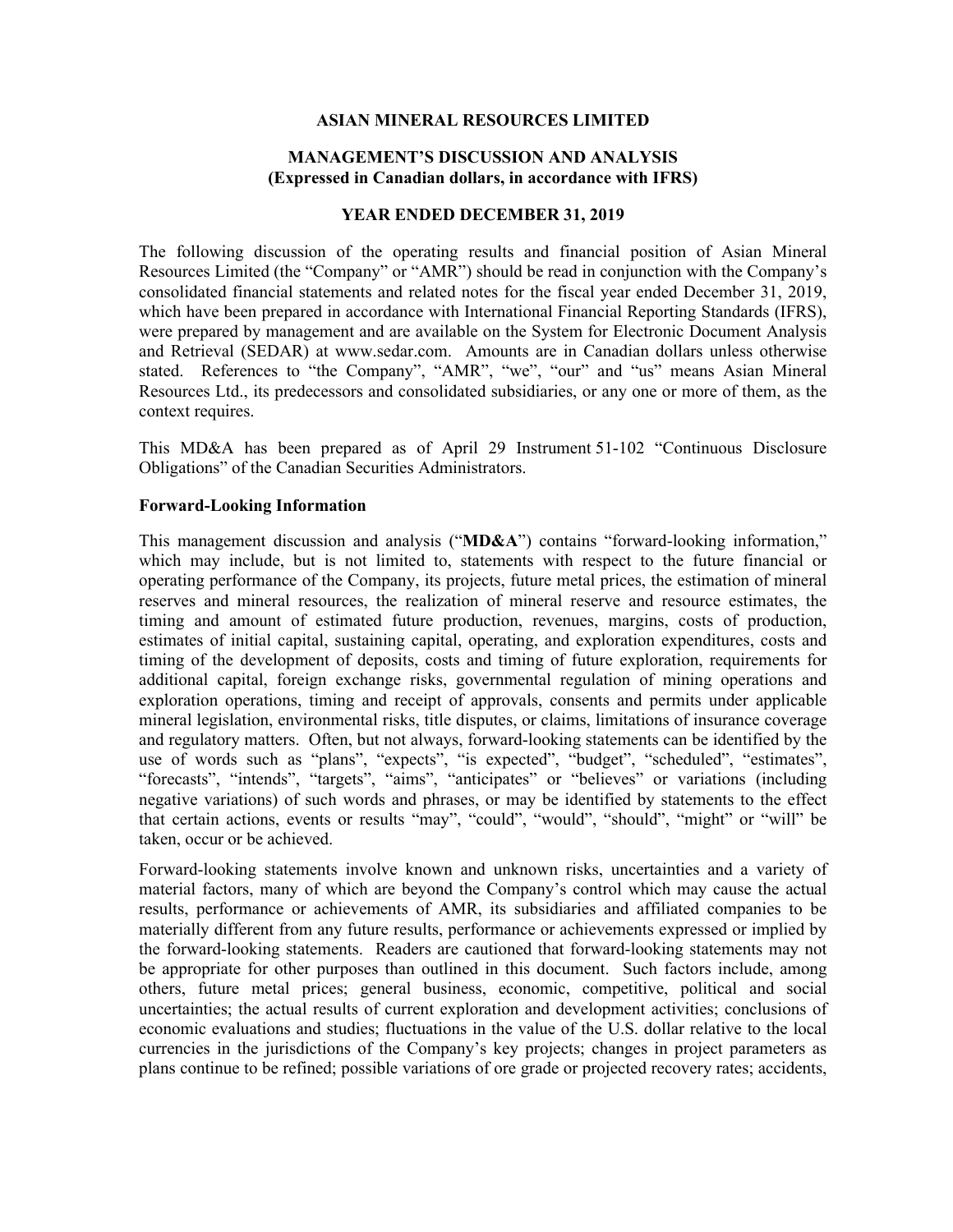### **ASIAN MINERAL RESOURCES LIMITED**

### **MANAGEMENT'S DISCUSSION AND ANALYSIS (Expressed in Canadian dollars, in accordance with IFRS)**

#### **YEAR ENDED DECEMBER 31, 2019**

The following discussion of the operating results and financial position of Asian Mineral Resources Limited (the "Company" or "AMR") should be read in conjunction with the Company's consolidated financial statements and related notes for the fiscal year ended December 31, 2019, which have been prepared in accordance with International Financial Reporting Standards (IFRS), were prepared by management and are available on the System for Electronic Document Analysis and Retrieval (SEDAR) at www.sedar.com. Amounts are in Canadian dollars unless otherwise stated. References to "the Company", "AMR", "we", "our" and "us" means Asian Mineral Resources Ltd., its predecessors and consolidated subsidiaries, or any one or more of them, as the context requires.

This MD&A has been prepared as of April 29 Instrument 51-102 "Continuous Disclosure Obligations" of the Canadian Securities Administrators.

#### **Forward-Looking Information**

This management discussion and analysis ("**MD&A**") contains "forward-looking information," which may include, but is not limited to, statements with respect to the future financial or operating performance of the Company, its projects, future metal prices, the estimation of mineral reserves and mineral resources, the realization of mineral reserve and resource estimates, the timing and amount of estimated future production, revenues, margins, costs of production, estimates of initial capital, sustaining capital, operating, and exploration expenditures, costs and timing of the development of deposits, costs and timing of future exploration, requirements for additional capital, foreign exchange risks, governmental regulation of mining operations and exploration operations, timing and receipt of approvals, consents and permits under applicable mineral legislation, environmental risks, title disputes, or claims, limitations of insurance coverage and regulatory matters. Often, but not always, forward-looking statements can be identified by the use of words such as "plans", "expects", "is expected", "budget", "scheduled", "estimates", "forecasts", "intends", "targets", "aims", "anticipates" or "believes" or variations (including negative variations) of such words and phrases, or may be identified by statements to the effect that certain actions, events or results "may", "could", "would", "should", "might" or "will" be taken, occur or be achieved.

Forward-looking statements involve known and unknown risks, uncertainties and a variety of material factors, many of which are beyond the Company's control which may cause the actual results, performance or achievements of AMR, its subsidiaries and affiliated companies to be materially different from any future results, performance or achievements expressed or implied by the forward-looking statements. Readers are cautioned that forward-looking statements may not be appropriate for other purposes than outlined in this document. Such factors include, among others, future metal prices; general business, economic, competitive, political and social uncertainties; the actual results of current exploration and development activities; conclusions of economic evaluations and studies; fluctuations in the value of the U.S. dollar relative to the local currencies in the jurisdictions of the Company's key projects; changes in project parameters as plans continue to be refined; possible variations of ore grade or projected recovery rates; accidents,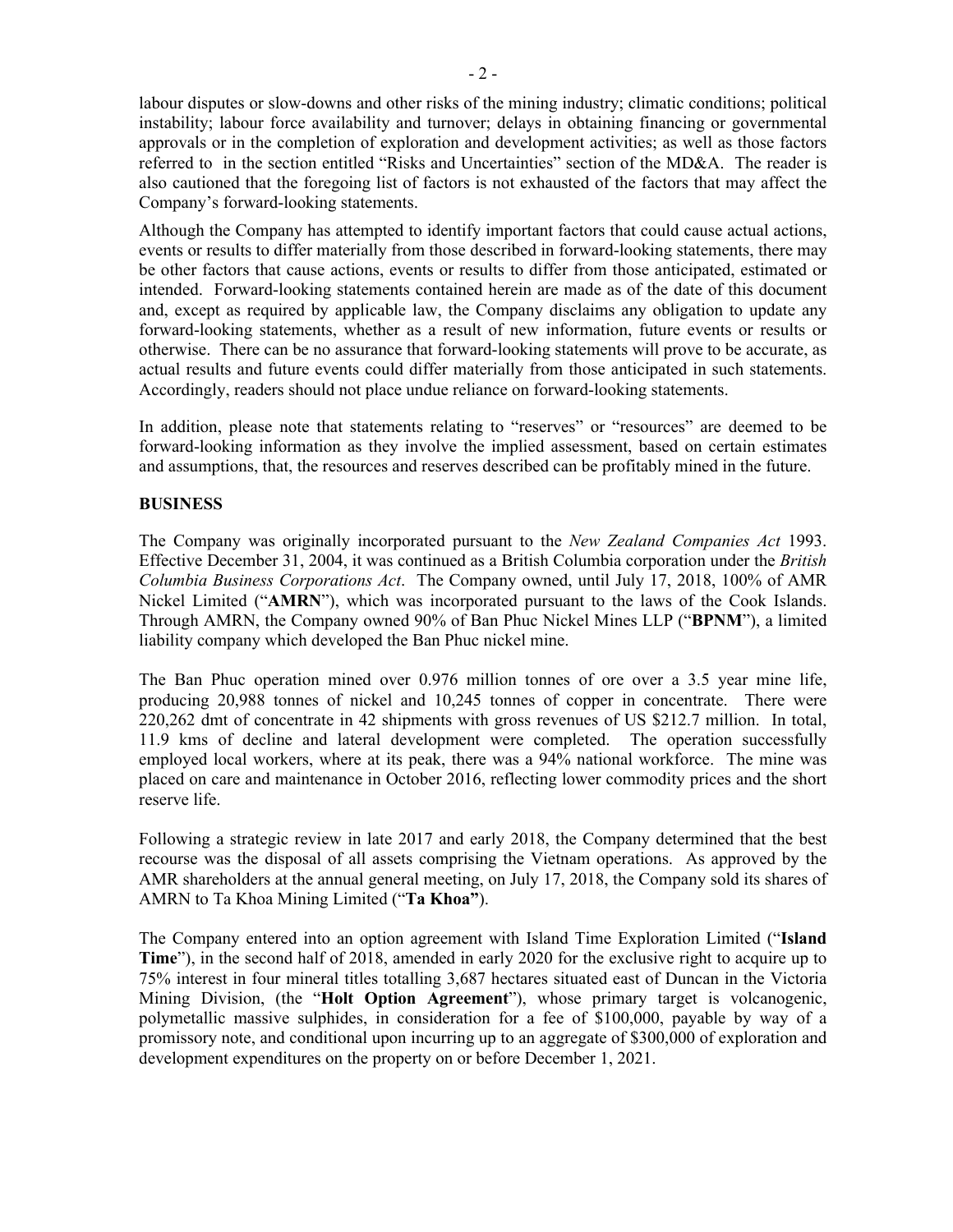labour disputes or slow-downs and other risks of the mining industry; climatic conditions; political instability; labour force availability and turnover; delays in obtaining financing or governmental approvals or in the completion of exploration and development activities; as well as those factors referred to in the section entitled "Risks and Uncertainties" section of the MD&A. The reader is also cautioned that the foregoing list of factors is not exhausted of the factors that may affect the Company's forward-looking statements.

Although the Company has attempted to identify important factors that could cause actual actions, events or results to differ materially from those described in forward-looking statements, there may be other factors that cause actions, events or results to differ from those anticipated, estimated or intended. Forward-looking statements contained herein are made as of the date of this document and, except as required by applicable law, the Company disclaims any obligation to update any forward-looking statements, whether as a result of new information, future events or results or otherwise. There can be no assurance that forward-looking statements will prove to be accurate, as actual results and future events could differ materially from those anticipated in such statements. Accordingly, readers should not place undue reliance on forward-looking statements.

In addition, please note that statements relating to "reserves" or "resources" are deemed to be forward-looking information as they involve the implied assessment, based on certain estimates and assumptions, that, the resources and reserves described can be profitably mined in the future.

### **BUSINESS**

The Company was originally incorporated pursuant to the *New Zealand Companies Act* 1993. Effective December 31, 2004, it was continued as a British Columbia corporation under the *British Columbia Business Corporations Act*. The Company owned, until July 17, 2018, 100% of AMR Nickel Limited ("**AMRN**"), which was incorporated pursuant to the laws of the Cook Islands. Through AMRN, the Company owned 90% of Ban Phuc Nickel Mines LLP ("**BPNM**"), a limited liability company which developed the Ban Phuc nickel mine.

The Ban Phuc operation mined over 0.976 million tonnes of ore over a 3.5 year mine life, producing 20,988 tonnes of nickel and 10,245 tonnes of copper in concentrate. There were 220,262 dmt of concentrate in 42 shipments with gross revenues of US \$212.7 million. In total, 11.9 kms of decline and lateral development were completed. The operation successfully employed local workers, where at its peak, there was a 94% national workforce. The mine was placed on care and maintenance in October 2016, reflecting lower commodity prices and the short reserve life.

Following a strategic review in late 2017 and early 2018, the Company determined that the best recourse was the disposal of all assets comprising the Vietnam operations. As approved by the AMR shareholders at the annual general meeting, on July 17, 2018, the Company sold its shares of AMRN to Ta Khoa Mining Limited ("**Ta Khoa"**).

The Company entered into an option agreement with Island Time Exploration Limited ("**Island Time**"), in the second half of 2018, amended in early 2020 for the exclusive right to acquire up to 75% interest in four mineral titles totalling 3,687 hectares situated east of Duncan in the Victoria Mining Division, (the "**Holt Option Agreement**"), whose primary target is volcanogenic, polymetallic massive sulphides, in consideration for a fee of \$100,000, payable by way of a promissory note, and conditional upon incurring up to an aggregate of \$300,000 of exploration and development expenditures on the property on or before December 1, 2021.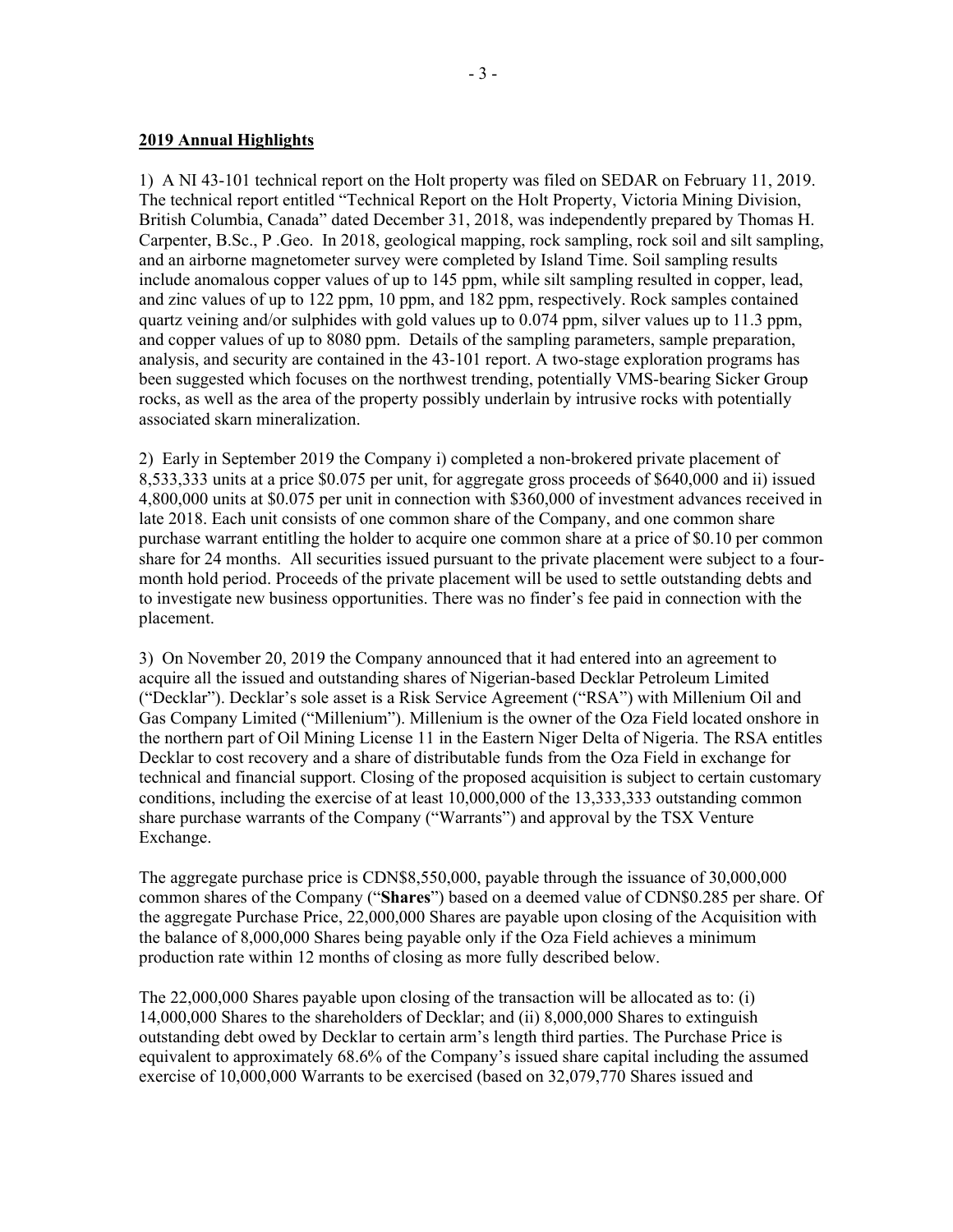#### **2019 Annual Highlights**

1) A NI 43-101 technical report on the Holt property was filed on SEDAR on February 11, 2019. The technical report entitled "Technical Report on the Holt Property, Victoria Mining Division, British Columbia, Canada" dated December 31, 2018, was independently prepared by Thomas H. Carpenter, B.Sc., P .Geo. In 2018, geological mapping, rock sampling, rock soil and silt sampling, and an airborne magnetometer survey were completed by Island Time. Soil sampling results include anomalous copper values of up to 145 ppm, while silt sampling resulted in copper, lead, and zinc values of up to 122 ppm, 10 ppm, and 182 ppm, respectively. Rock samples contained quartz veining and/or sulphides with gold values up to 0.074 ppm, silver values up to 11.3 ppm, and copper values of up to 8080 ppm. Details of the sampling parameters, sample preparation, analysis, and security are contained in the 43-101 report. A two-stage exploration programs has been suggested which focuses on the northwest trending, potentially VMS-bearing Sicker Group rocks, as well as the area of the property possibly underlain by intrusive rocks with potentially associated skarn mineralization.

2) Early in September 2019 the Company i) completed a non-brokered private placement of 8,533,333 units at a price \$0.075 per unit, for aggregate gross proceeds of \$640,000 and ii) issued 4,800,000 units at \$0.075 per unit in connection with \$360,000 of investment advances received in late 2018. Each unit consists of one common share of the Company, and one common share purchase warrant entitling the holder to acquire one common share at a price of \$0.10 per common share for 24 months. All securities issued pursuant to the private placement were subject to a fourmonth hold period. Proceeds of the private placement will be used to settle outstanding debts and to investigate new business opportunities. There was no finder's fee paid in connection with the placement.

3) On November 20, 2019 the Company announced that it had entered into an agreement to acquire all the issued and outstanding shares of Nigerian-based Decklar Petroleum Limited ("Decklar"). Decklar's sole asset is a Risk Service Agreement ("RSA") with Millenium Oil and Gas Company Limited ("Millenium"). Millenium is the owner of the Oza Field located onshore in the northern part of Oil Mining License 11 in the Eastern Niger Delta of Nigeria. The RSA entitles Decklar to cost recovery and a share of distributable funds from the Oza Field in exchange for technical and financial support. Closing of the proposed acquisition is subject to certain customary conditions, including the exercise of at least 10,000,000 of the 13,333,333 outstanding common share purchase warrants of the Company ("Warrants") and approval by the TSX Venture Exchange.

The aggregate purchase price is CDN\$8,550,000, payable through the issuance of 30,000,000 common shares of the Company ("**Shares**") based on a deemed value of CDN\$0.285 per share. Of the aggregate Purchase Price, 22,000,000 Shares are payable upon closing of the Acquisition with the balance of 8,000,000 Shares being payable only if the Oza Field achieves a minimum production rate within 12 months of closing as more fully described below.

The 22,000,000 Shares payable upon closing of the transaction will be allocated as to: (i) 14,000,000 Shares to the shareholders of Decklar; and (ii) 8,000,000 Shares to extinguish outstanding debt owed by Decklar to certain arm's length third parties. The Purchase Price is equivalent to approximately 68.6% of the Company's issued share capital including the assumed exercise of 10,000,000 Warrants to be exercised (based on 32,079,770 Shares issued and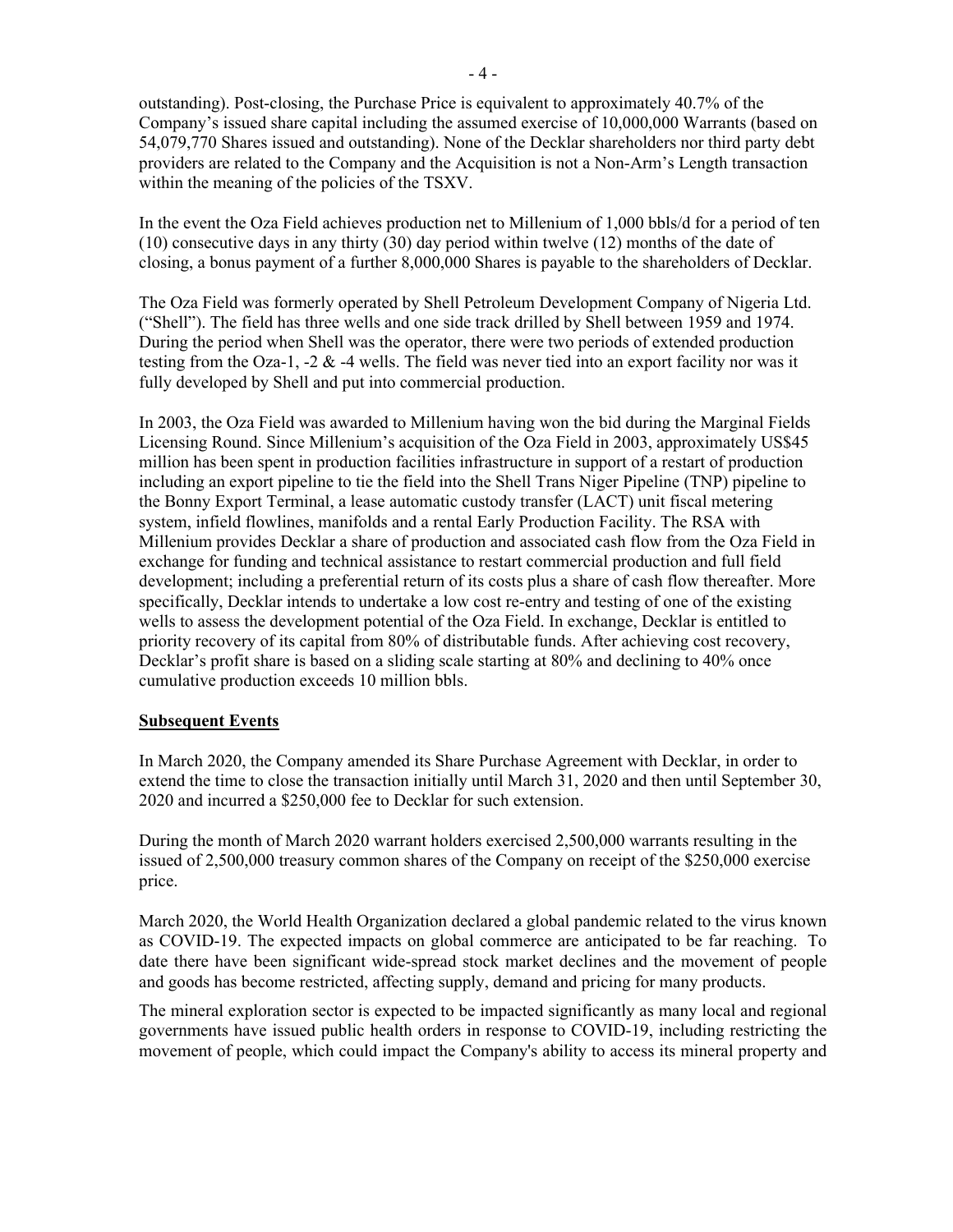outstanding). Post-closing, the Purchase Price is equivalent to approximately 40.7% of the Company's issued share capital including the assumed exercise of 10,000,000 Warrants (based on 54,079,770 Shares issued and outstanding). None of the Decklar shareholders nor third party debt providers are related to the Company and the Acquisition is not a Non-Arm's Length transaction within the meaning of the policies of the TSXV.

In the event the Oza Field achieves production net to Millenium of 1,000 bbls/d for a period of ten (10) consecutive days in any thirty (30) day period within twelve (12) months of the date of closing, a bonus payment of a further 8,000,000 Shares is payable to the shareholders of Decklar.

The Oza Field was formerly operated by Shell Petroleum Development Company of Nigeria Ltd. ("Shell"). The field has three wells and one side track drilled by Shell between 1959 and 1974. During the period when Shell was the operator, there were two periods of extended production testing from the Oza-1, -2 & -4 wells. The field was never tied into an export facility nor was it fully developed by Shell and put into commercial production.

In 2003, the Oza Field was awarded to Millenium having won the bid during the Marginal Fields Licensing Round. Since Millenium's acquisition of the Oza Field in 2003, approximately US\$45 million has been spent in production facilities infrastructure in support of a restart of production including an export pipeline to tie the field into the Shell Trans Niger Pipeline (TNP) pipeline to the Bonny Export Terminal, a lease automatic custody transfer (LACT) unit fiscal metering system, infield flowlines, manifolds and a rental Early Production Facility. The RSA with Millenium provides Decklar a share of production and associated cash flow from the Oza Field in exchange for funding and technical assistance to restart commercial production and full field development; including a preferential return of its costs plus a share of cash flow thereafter. More specifically, Decklar intends to undertake a low cost re-entry and testing of one of the existing wells to assess the development potential of the Oza Field. In exchange, Decklar is entitled to priority recovery of its capital from 80% of distributable funds. After achieving cost recovery, Decklar's profit share is based on a sliding scale starting at 80% and declining to 40% once cumulative production exceeds 10 million bbls.

### **Subsequent Events**

In March 2020, the Company amended its Share Purchase Agreement with Decklar, in order to extend the time to close the transaction initially until March 31, 2020 and then until September 30, 2020 and incurred a \$250,000 fee to Decklar for such extension.

During the month of March 2020 warrant holders exercised 2,500,000 warrants resulting in the issued of 2,500,000 treasury common shares of the Company on receipt of the \$250,000 exercise price.

March 2020, the World Health Organization declared a global pandemic related to the virus known as COVID-19. The expected impacts on global commerce are anticipated to be far reaching. To date there have been significant wide-spread stock market declines and the movement of people and goods has become restricted, affecting supply, demand and pricing for many products.

The mineral exploration sector is expected to be impacted significantly as many local and regional governments have issued public health orders in response to COVID-19, including restricting the movement of people, which could impact the Company's ability to access its mineral property and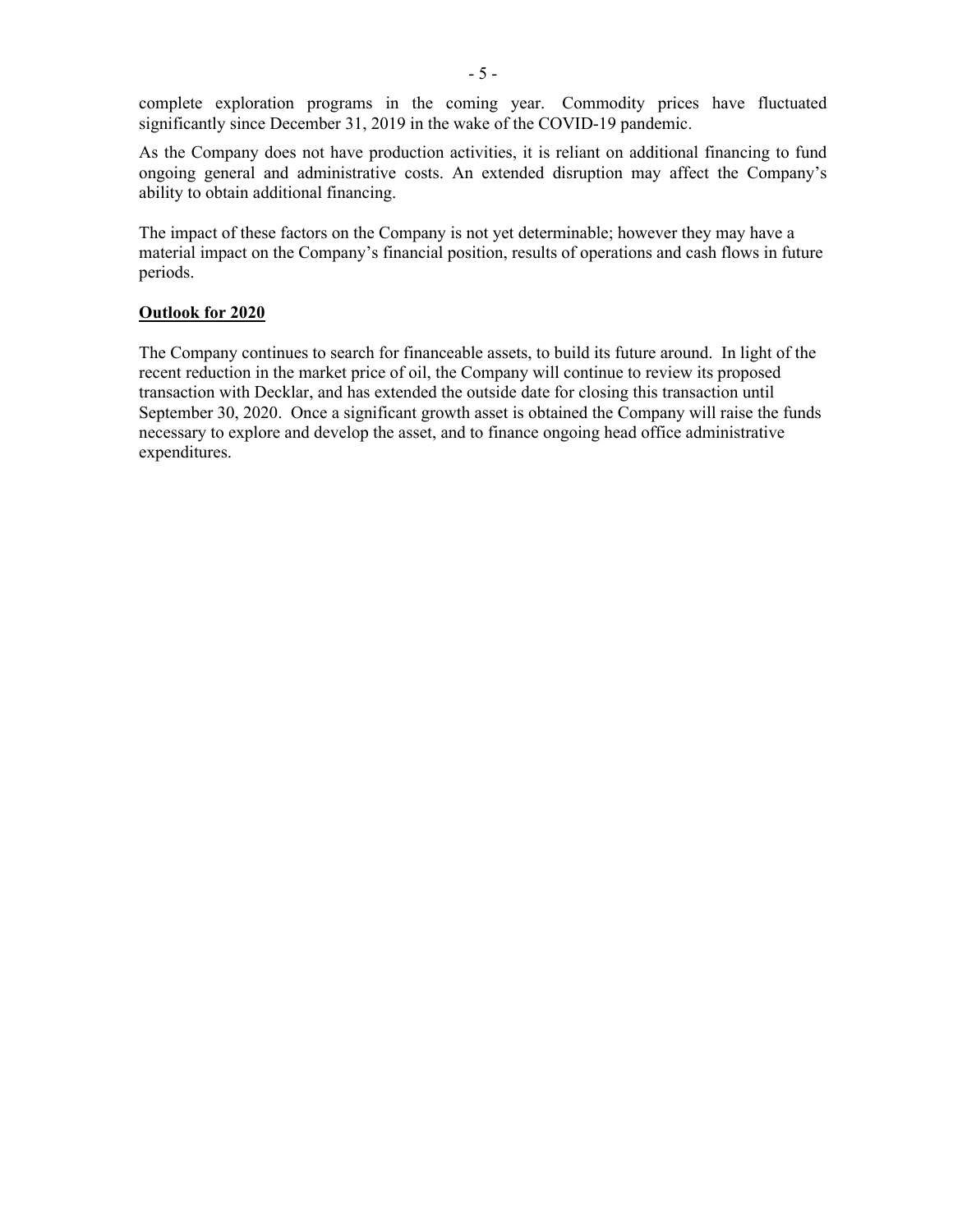complete exploration programs in the coming year. Commodity prices have fluctuated significantly since December 31, 2019 in the wake of the COVID-19 pandemic.

As the Company does not have production activities, it is reliant on additional financing to fund ongoing general and administrative costs. An extended disruption may affect the Company's ability to obtain additional financing.

The impact of these factors on the Company is not yet determinable; however they may have a material impact on the Company's financial position, results of operations and cash flows in future periods.

### **Outlook for 2020**

The Company continues to search for financeable assets, to build its future around. In light of the recent reduction in the market price of oil, the Company will continue to review its proposed transaction with Decklar, and has extended the outside date for closing this transaction until September 30, 2020. Once a significant growth asset is obtained the Company will raise the funds necessary to explore and develop the asset, and to finance ongoing head office administrative expenditures.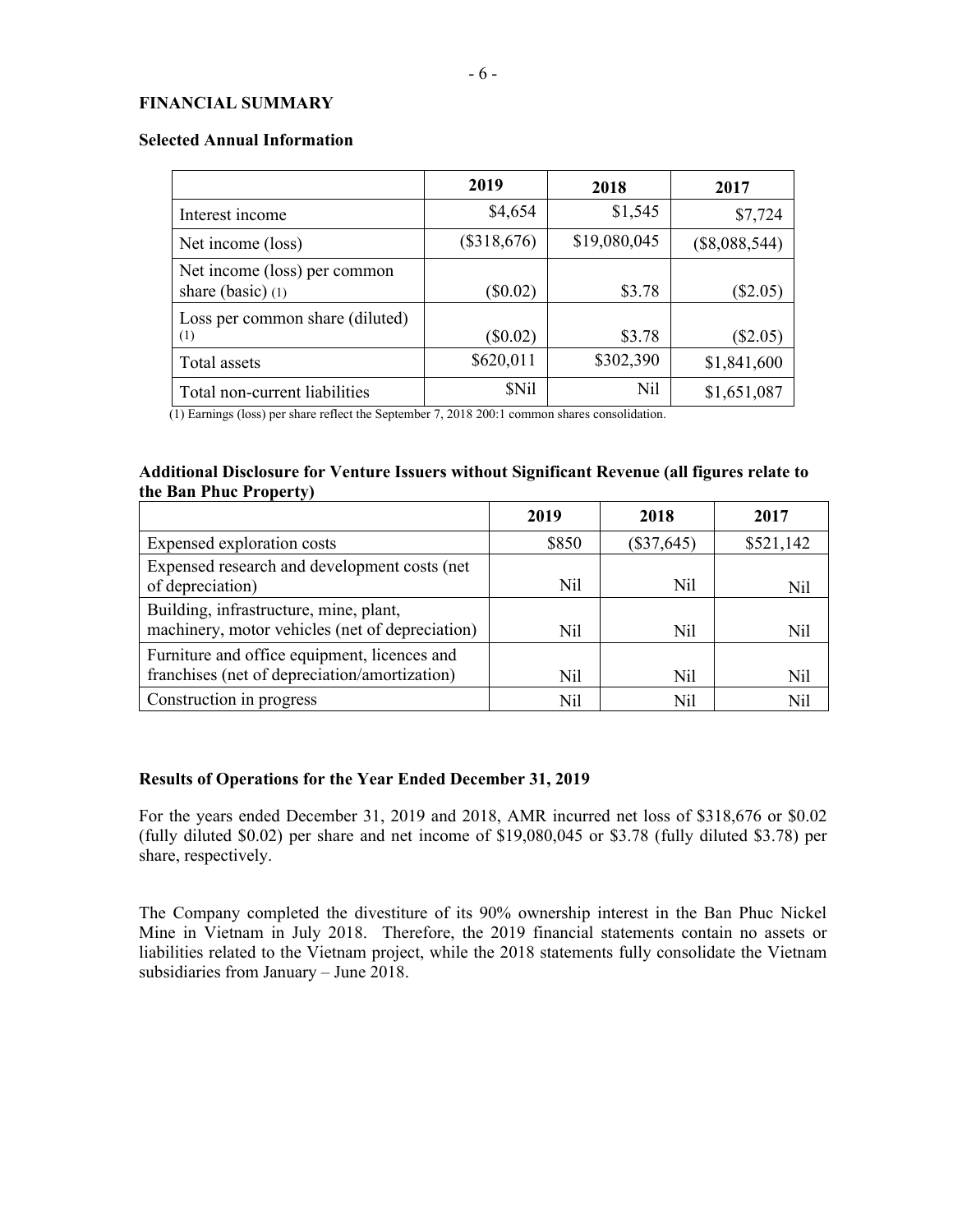### **FINANCIAL SUMMARY**

### **Selected Annual Information**

|                                                     | 2019          | 2018         | 2017            |
|-----------------------------------------------------|---------------|--------------|-----------------|
| Interest income                                     | \$4,654       | \$1,545      | \$7,724         |
| Net income (loss)                                   | $(\$318,676)$ | \$19,080,045 | $(\$8,088,544)$ |
| Net income (loss) per common<br>share (basic) $(1)$ | $(\$0.02)$    | \$3.78       | $(\$2.05)$      |
| Loss per common share (diluted)<br>(1)              | $(\$0.02)$    | \$3.78       | $(\$2.05)$      |
| Total assets                                        | \$620,011     | \$302,390    | \$1,841,600     |
| Total non-current liabilities                       | \$Nil         | Nil          | \$1,651,087     |

(1) Earnings (loss) per share reflect the September 7, 2018 200:1 common shares consolidation.

### **Additional Disclosure for Venture Issuers without Significant Revenue (all figures relate to the Ban Phuc Property)**

|                                                                                               | 2019  | 2018         | 2017      |
|-----------------------------------------------------------------------------------------------|-------|--------------|-----------|
| Expensed exploration costs                                                                    | \$850 | $(\$37,645)$ | \$521,142 |
| Expensed research and development costs (net<br>of depreciation)                              | Nil   | Nil          | Nil       |
| Building, infrastructure, mine, plant,<br>machinery, motor vehicles (net of depreciation)     | Nil   | Nil          | Nil       |
| Furniture and office equipment, licences and<br>franchises (net of depreciation/amortization) | Nil   | Nil          | Nil       |
| Construction in progress                                                                      | Nil   | Nil          | Nil       |

#### **Results of Operations for the Year Ended December 31, 2019**

For the years ended December 31, 2019 and 2018, AMR incurred net loss of \$318,676 or \$0.02 (fully diluted \$0.02) per share and net income of \$19,080,045 or \$3.78 (fully diluted \$3.78) per share, respectively.

The Company completed the divestiture of its 90% ownership interest in the Ban Phuc Nickel Mine in Vietnam in July 2018. Therefore, the 2019 financial statements contain no assets or liabilities related to the Vietnam project, while the 2018 statements fully consolidate the Vietnam subsidiaries from January – June 2018.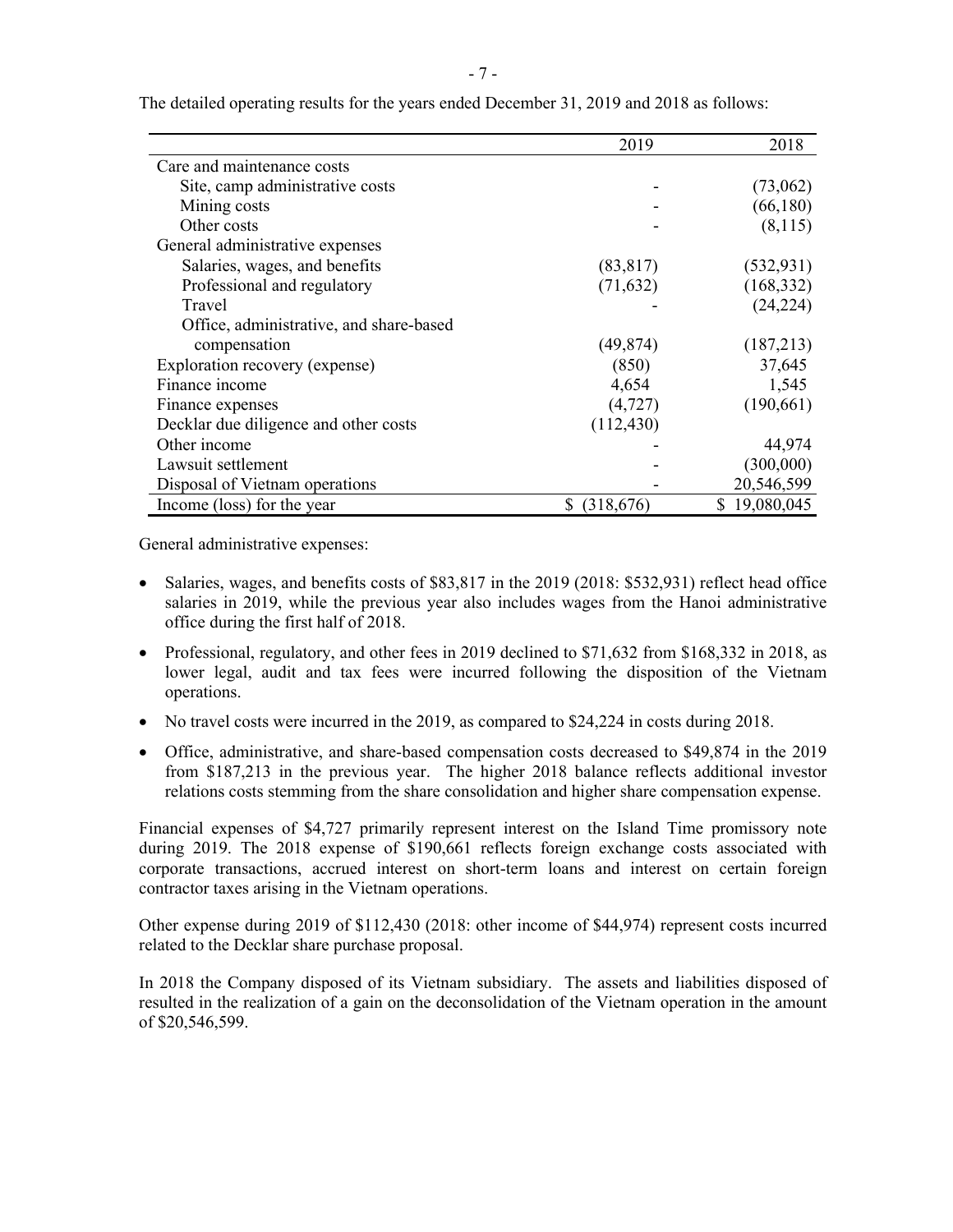|                                         | 2019            | 2018         |
|-----------------------------------------|-----------------|--------------|
| Care and maintenance costs              |                 |              |
| Site, camp administrative costs         |                 | (73,062)     |
| Mining costs                            |                 | (66,180)     |
| Other costs                             |                 | (8,115)      |
| General administrative expenses         |                 |              |
| Salaries, wages, and benefits           | (83, 817)       | (532, 931)   |
| Professional and regulatory             | (71, 632)       | (168, 332)   |
| Travel                                  |                 | (24, 224)    |
| Office, administrative, and share-based |                 |              |
| compensation                            | (49, 874)       | (187,213)    |
| Exploration recovery (expense)          | (850)           | 37,645       |
| Finance income                          | 4,654           | 1,545        |
| Finance expenses                        | (4, 727)        | (190,661)    |
| Decklar due diligence and other costs   | (112, 430)      |              |
| Other income                            |                 | 44,974       |
| Lawsuit settlement                      |                 | (300,000)    |
| Disposal of Vietnam operations          |                 | 20,546,599   |
| Income (loss) for the year              | (318,676)<br>S. | \$19,080,045 |

The detailed operating results for the years ended December 31, 2019 and 2018 as follows:

General administrative expenses:

- Salaries, wages, and benefits costs of \$83,817 in the 2019 (2018: \$532,931) reflect head office salaries in 2019, while the previous year also includes wages from the Hanoi administrative office during the first half of 2018.
- Professional, regulatory, and other fees in 2019 declined to \$71,632 from \$168,332 in 2018, as lower legal, audit and tax fees were incurred following the disposition of the Vietnam operations.
- No travel costs were incurred in the 2019, as compared to \$24,224 in costs during 2018.
- Office, administrative, and share-based compensation costs decreased to \$49,874 in the 2019 from \$187,213 in the previous year. The higher 2018 balance reflects additional investor relations costs stemming from the share consolidation and higher share compensation expense.

Financial expenses of \$4,727 primarily represent interest on the Island Time promissory note during 2019. The 2018 expense of \$190,661 reflects foreign exchange costs associated with corporate transactions, accrued interest on short-term loans and interest on certain foreign contractor taxes arising in the Vietnam operations.

Other expense during 2019 of \$112,430 (2018: other income of \$44,974) represent costs incurred related to the Decklar share purchase proposal.

In 2018 the Company disposed of its Vietnam subsidiary. The assets and liabilities disposed of resulted in the realization of a gain on the deconsolidation of the Vietnam operation in the amount of \$20,546,599.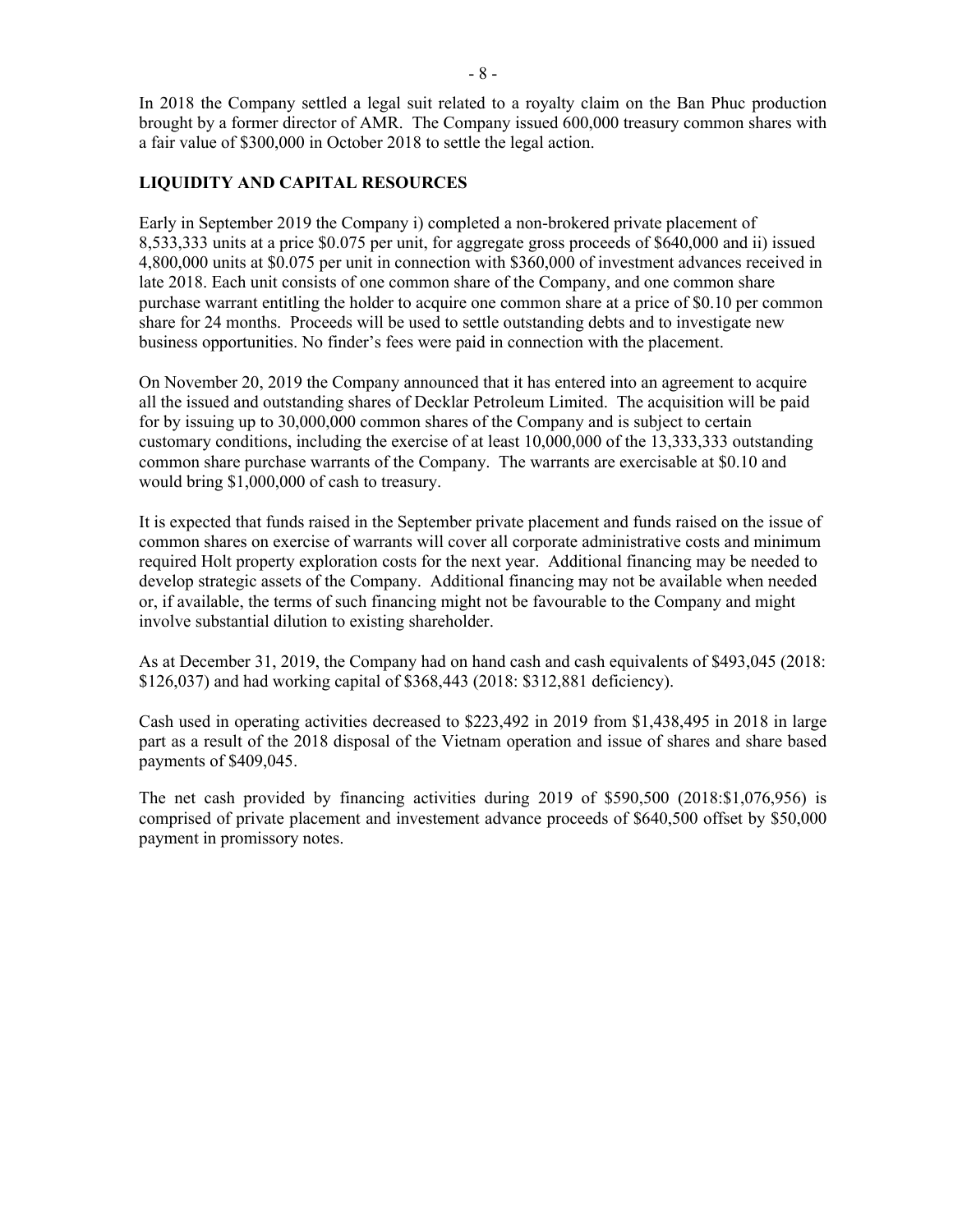In 2018 the Company settled a legal suit related to a royalty claim on the Ban Phuc production brought by a former director of AMR. The Company issued 600,000 treasury common shares with a fair value of \$300,000 in October 2018 to settle the legal action.

### **LIQUIDITY AND CAPITAL RESOURCES**

Early in September 2019 the Company i) completed a non-brokered private placement of 8,533,333 units at a price \$0.075 per unit, for aggregate gross proceeds of \$640,000 and ii) issued 4,800,000 units at \$0.075 per unit in connection with \$360,000 of investment advances received in late 2018. Each unit consists of one common share of the Company, and one common share purchase warrant entitling the holder to acquire one common share at a price of \$0.10 per common share for 24 months. Proceeds will be used to settle outstanding debts and to investigate new business opportunities. No finder's fees were paid in connection with the placement.

On November 20, 2019 the Company announced that it has entered into an agreement to acquire all the issued and outstanding shares of Decklar Petroleum Limited. The acquisition will be paid for by issuing up to 30,000,000 common shares of the Company and is subject to certain customary conditions, including the exercise of at least 10,000,000 of the 13,333,333 outstanding common share purchase warrants of the Company. The warrants are exercisable at \$0.10 and would bring \$1,000,000 of cash to treasury.

It is expected that funds raised in the September private placement and funds raised on the issue of common shares on exercise of warrants will cover all corporate administrative costs and minimum required Holt property exploration costs for the next year. Additional financing may be needed to develop strategic assets of the Company. Additional financing may not be available when needed or, if available, the terms of such financing might not be favourable to the Company and might involve substantial dilution to existing shareholder.

As at December 31, 2019, the Company had on hand cash and cash equivalents of \$493,045 (2018: \$126,037) and had working capital of \$368,443 (2018: \$312,881 deficiency).

Cash used in operating activities decreased to \$223,492 in 2019 from \$1,438,495 in 2018 in large part as a result of the 2018 disposal of the Vietnam operation and issue of shares and share based payments of \$409,045.

The net cash provided by financing activities during 2019 of \$590,500 (2018:\$1,076,956) is comprised of private placement and investement advance proceeds of \$640,500 offset by \$50,000 payment in promissory notes.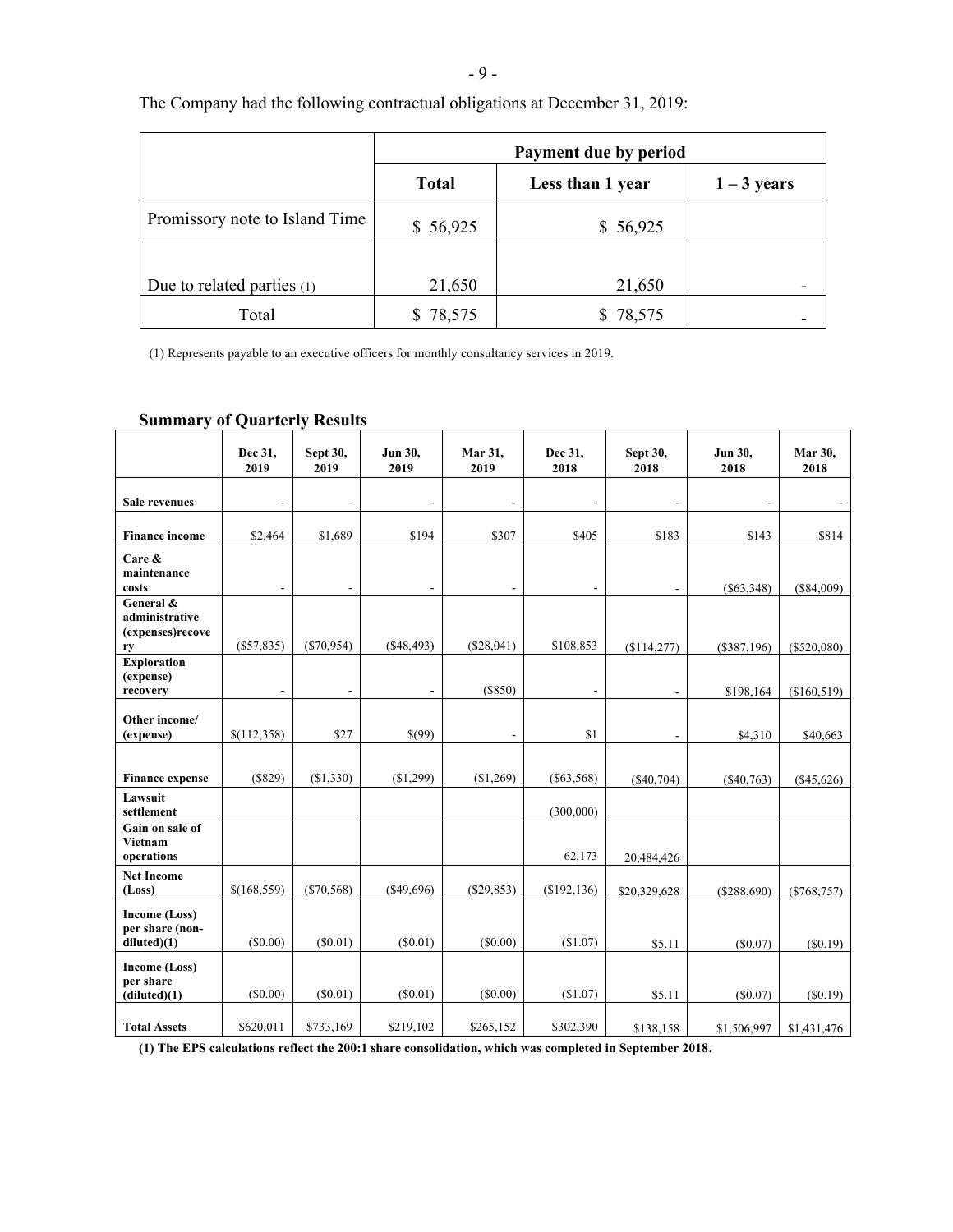|  | v.<br>ັ |  |  |
|--|---------|--|--|
|  |         |  |  |

|                                | Payment due by period            |          |               |  |  |
|--------------------------------|----------------------------------|----------|---------------|--|--|
|                                | <b>Total</b><br>Less than 1 year |          | $1 - 3$ years |  |  |
| Promissory note to Island Time | \$56,925                         | \$56,925 |               |  |  |
|                                |                                  |          |               |  |  |
| Due to related parties $(1)$   | 21,650                           | 21,650   |               |  |  |
| Total                          | \$78,575                         | 78,575   |               |  |  |

The Company had the following contractual obligations at December 31, 2019:

(1) Represents payable to an executive officers for monthly consultancy services in 2019.

|                                                        | Dec 31,<br>2019 | Sept 30,<br>2019 | Jun 30,<br>2019          | Mar 31,<br>2019          | Dec 31,<br>2018          | Sept 30,<br>2018 | Jun 30,<br>2018 | <b>Mar 30,</b><br>2018 |
|--------------------------------------------------------|-----------------|------------------|--------------------------|--------------------------|--------------------------|------------------|-----------------|------------------------|
| <b>Sale revenues</b>                                   |                 |                  |                          |                          |                          |                  | $\blacksquare$  |                        |
| <b>Finance income</b>                                  | \$2,464         | \$1,689          | \$194                    | \$307                    | \$405                    | \$183            | \$143           | \$814                  |
| Care &<br>maintenance<br>costs                         |                 |                  | $\overline{\phantom{a}}$ | $\overline{\phantom{0}}$ | $\overline{\phantom{a}}$ |                  | ( \$63,348)     | (\$84,009)             |
| General &<br>administrative<br>(expenses) recove<br>ry | $(\$57,835)$    | $(\$70,954)$     | (\$48,493)               | (\$28,041)               | \$108,853                | (\$114,277)      | (\$387,196)     | $(\$520,080)$          |
| <b>Exploration</b><br>(expense)<br>recovery            | -               | $\overline{a}$   | $\overline{\phantom{a}}$ | (\$850)                  | $\overline{\phantom{a}}$ |                  | \$198,164       | (\$160,519)            |
| Other income/<br>(expense)                             | \$(112,358)     | \$27             | \$(99)                   | $\overline{a}$           | \$1                      |                  | \$4,310         | \$40,663               |
| <b>Finance expense</b><br>Lawsuit                      | (\$829)         | (\$1,330)        | (\$1,299)                | (\$1,269)                | $(\$63,568)$             | (S40, 704)       | $(\$40,763)$    | $(\$45,626)$           |
| settlement                                             |                 |                  |                          |                          | (300,000)                |                  |                 |                        |
| Gain on sale of<br>Vietnam<br>operations               |                 |                  |                          |                          | 62,173                   | 20,484,426       |                 |                        |
| <b>Net Income</b><br>(Loss)                            | \$(168, 559)    | $(\$70,568)$     | $(\$49,696)$             | (\$29,853)               | (\$192, 136)             | \$20,329,628     | (\$288,690)     | $(\$768,757)$          |
| Income (Loss)<br>per share (non-<br>diluted(1)         | (S0.00)         | (S0.01)          | (S0.01)                  | (S0.00)                  | (\$1.07)                 | \$5.11           | $(\$0.07)$      | $(\$0.19)$             |
| Income (Loss)<br>per share<br>(diluted)(1)             | (S0.00)         | (S0.01)          | (S0.01)                  | (S0.00)                  | (\$1.07)                 | \$5.11           | (\$0.07)        | $(\$0.19)$             |
| <b>Total Assets</b>                                    | \$620,011       | \$733,169        | \$219,102                | \$265,152                | \$302,390                | \$138,158        | \$1,506,997     | \$1,431,476            |

# **Summary of Quarterly Results**

**(1) The EPS calculations reflect the 200:1 share consolidation, which was completed in September 2018**.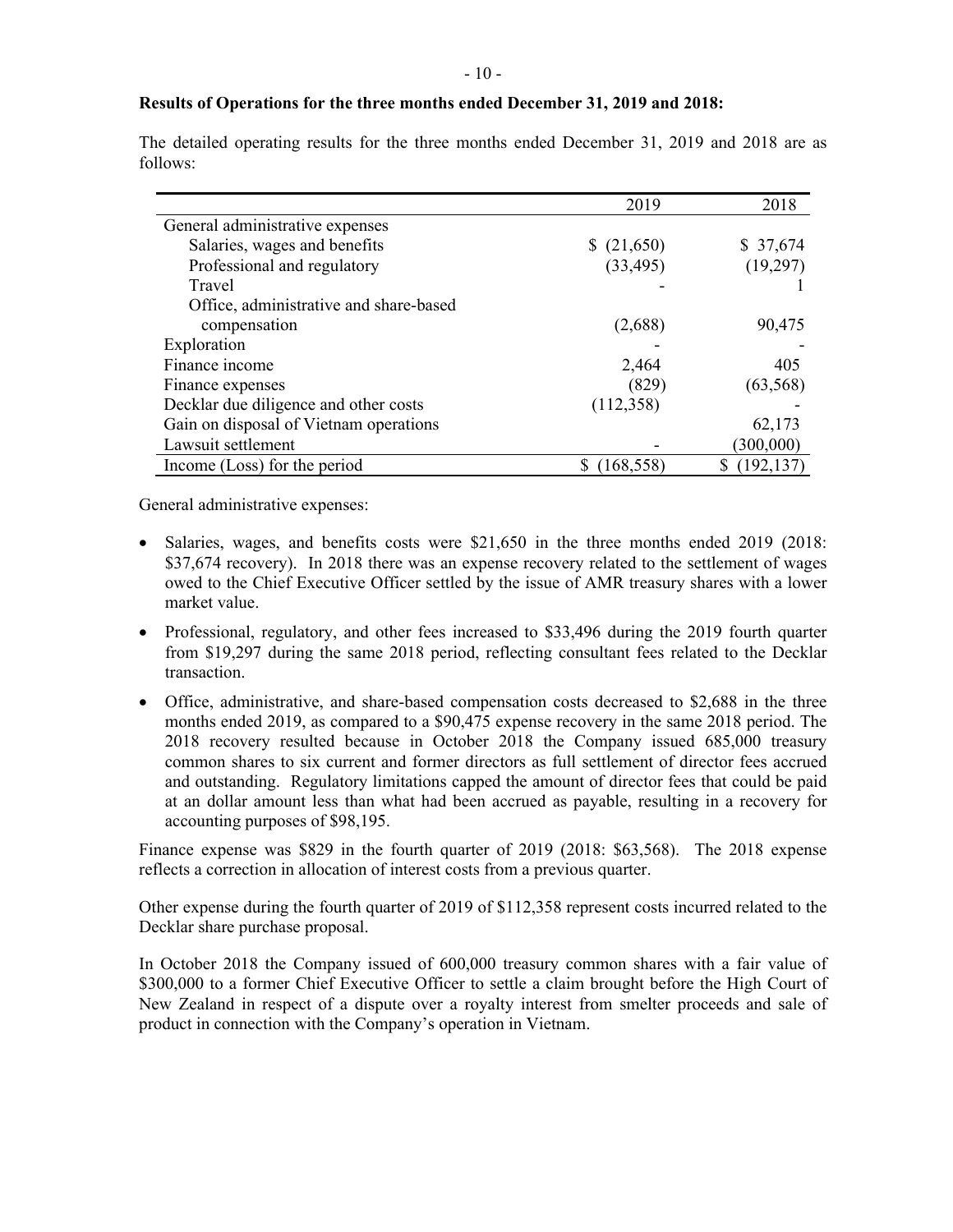### **Results of Operations for the three months ended December 31, 2019 and 2018:**

|                                        | 2019      | 2018       |
|----------------------------------------|-----------|------------|
| General administrative expenses        |           |            |
| Salaries, wages and benefits           | (21,650)  | \$ 37,674  |
| Professional and regulatory            | (33, 495) | (19,297)   |
| Travel                                 |           |            |
| Office, administrative and share-based |           |            |
| compensation                           | (2,688)   | 90,475     |
| Exploration                            |           |            |
| Finance income                         | 2,464     | 405        |
| Finance expenses                       | (829)     | (63, 568)  |
| Decklar due diligence and other costs  | (112,358) |            |
| Gain on disposal of Vietnam operations |           | 62,173     |
| Lawsuit settlement                     |           | (300,000)  |
| Income (Loss) for the period           | 168,558)  | (192, 137) |

The detailed operating results for the three months ended December 31, 2019 and 2018 are as follows:

General administrative expenses:

- Salaries, wages, and benefits costs were \$21,650 in the three months ended 2019 (2018: \$37,674 recovery). In 2018 there was an expense recovery related to the settlement of wages owed to the Chief Executive Officer settled by the issue of AMR treasury shares with a lower market value.
- Professional, regulatory, and other fees increased to \$33,496 during the 2019 fourth quarter from \$19,297 during the same 2018 period, reflecting consultant fees related to the Decklar transaction.
- Office, administrative, and share-based compensation costs decreased to \$2,688 in the three months ended 2019, as compared to a \$90,475 expense recovery in the same 2018 period. The 2018 recovery resulted because in October 2018 the Company issued 685,000 treasury common shares to six current and former directors as full settlement of director fees accrued and outstanding. Regulatory limitations capped the amount of director fees that could be paid at an dollar amount less than what had been accrued as payable, resulting in a recovery for accounting purposes of \$98,195.

Finance expense was \$829 in the fourth quarter of 2019 (2018: \$63,568). The 2018 expense reflects a correction in allocation of interest costs from a previous quarter.

Other expense during the fourth quarter of 2019 of \$112,358 represent costs incurred related to the Decklar share purchase proposal.

In October 2018 the Company issued of 600,000 treasury common shares with a fair value of \$300,000 to a former Chief Executive Officer to settle a claim brought before the High Court of New Zealand in respect of a dispute over a royalty interest from smelter proceeds and sale of product in connection with the Company's operation in Vietnam.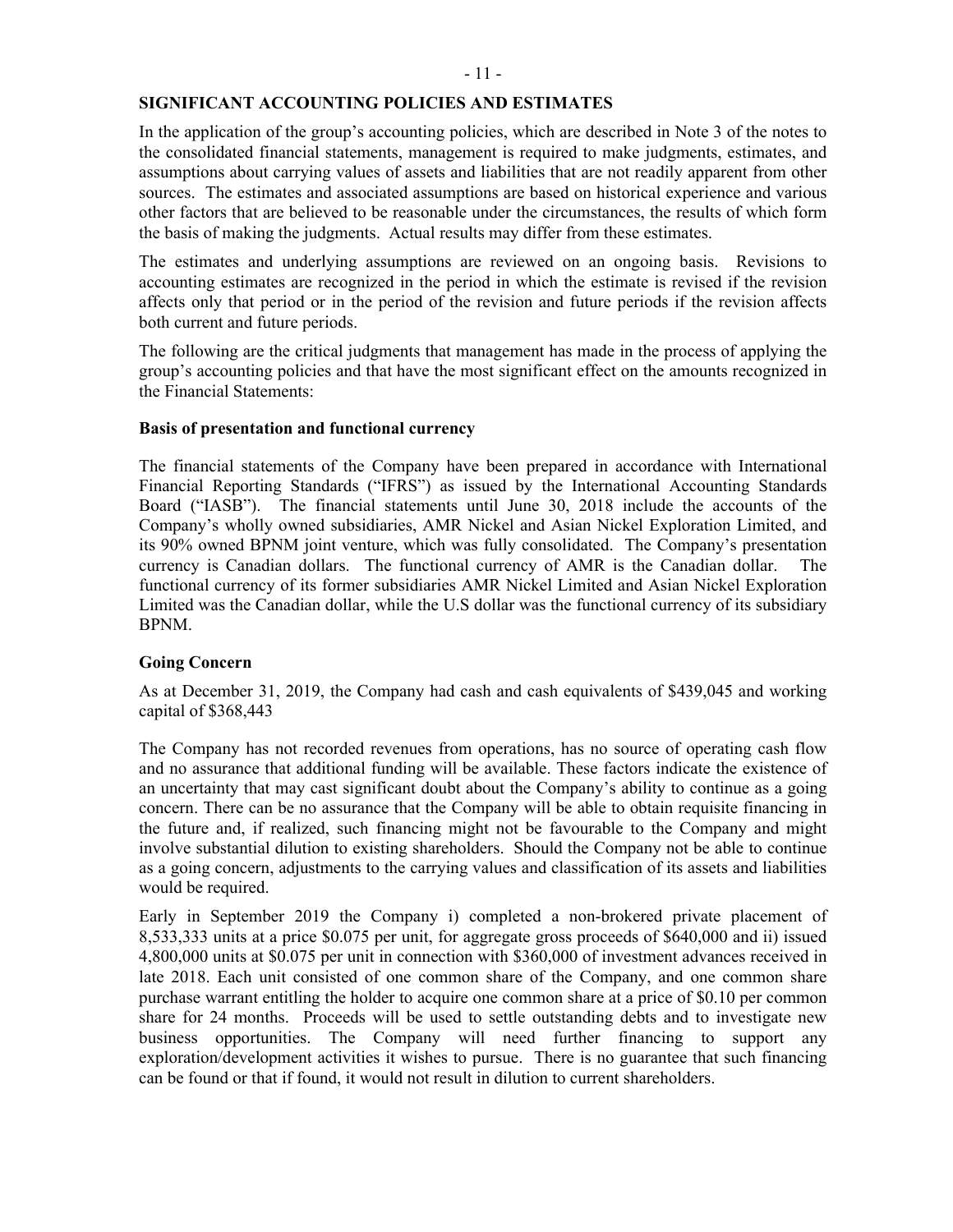### **SIGNIFICANT ACCOUNTING POLICIES AND ESTIMATES**

In the application of the group's accounting policies, which are described in Note 3 of the notes to the consolidated financial statements, management is required to make judgments, estimates, and assumptions about carrying values of assets and liabilities that are not readily apparent from other sources. The estimates and associated assumptions are based on historical experience and various other factors that are believed to be reasonable under the circumstances, the results of which form the basis of making the judgments. Actual results may differ from these estimates.

The estimates and underlying assumptions are reviewed on an ongoing basis. Revisions to accounting estimates are recognized in the period in which the estimate is revised if the revision affects only that period or in the period of the revision and future periods if the revision affects both current and future periods.

The following are the critical judgments that management has made in the process of applying the group's accounting policies and that have the most significant effect on the amounts recognized in the Financial Statements:

#### **Basis of presentation and functional currency**

The financial statements of the Company have been prepared in accordance with International Financial Reporting Standards ("IFRS") as issued by the International Accounting Standards Board ("IASB"). The financial statements until June 30, 2018 include the accounts of the Company's wholly owned subsidiaries, AMR Nickel and Asian Nickel Exploration Limited, and its 90% owned BPNM joint venture, which was fully consolidated. The Company's presentation currency is Canadian dollars. The functional currency of AMR is the Canadian dollar. The functional currency of its former subsidiaries AMR Nickel Limited and Asian Nickel Exploration Limited was the Canadian dollar, while the U.S dollar was the functional currency of its subsidiary BPNM.

#### **Going Concern**

As at December 31, 2019, the Company had cash and cash equivalents of \$439,045 and working capital of \$368,443

The Company has not recorded revenues from operations, has no source of operating cash flow and no assurance that additional funding will be available. These factors indicate the existence of an uncertainty that may cast significant doubt about the Company's ability to continue as a going concern. There can be no assurance that the Company will be able to obtain requisite financing in the future and, if realized, such financing might not be favourable to the Company and might involve substantial dilution to existing shareholders. Should the Company not be able to continue as a going concern, adjustments to the carrying values and classification of its assets and liabilities would be required.

Early in September 2019 the Company i) completed a non-brokered private placement of 8,533,333 units at a price \$0.075 per unit, for aggregate gross proceeds of \$640,000 and ii) issued 4,800,000 units at \$0.075 per unit in connection with \$360,000 of investment advances received in late 2018. Each unit consisted of one common share of the Company, and one common share purchase warrant entitling the holder to acquire one common share at a price of \$0.10 per common share for 24 months. Proceeds will be used to settle outstanding debts and to investigate new business opportunities. The Company will need further financing to support any exploration/development activities it wishes to pursue. There is no guarantee that such financing can be found or that if found, it would not result in dilution to current shareholders.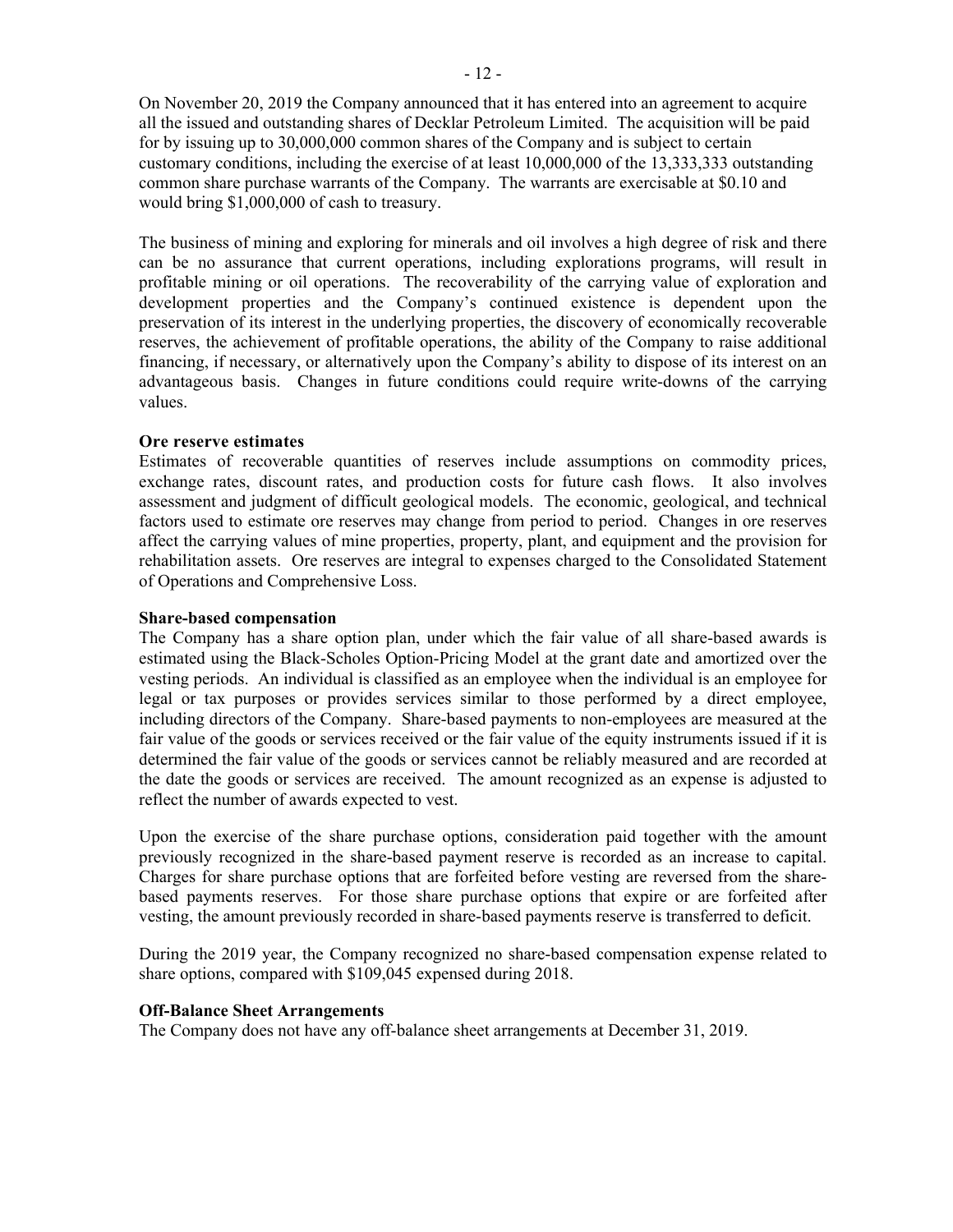On November 20, 2019 the Company announced that it has entered into an agreement to acquire all the issued and outstanding shares of Decklar Petroleum Limited. The acquisition will be paid for by issuing up to 30,000,000 common shares of the Company and is subject to certain customary conditions, including the exercise of at least 10,000,000 of the 13,333,333 outstanding common share purchase warrants of the Company. The warrants are exercisable at \$0.10 and would bring \$1,000,000 of cash to treasury.

The business of mining and exploring for minerals and oil involves a high degree of risk and there can be no assurance that current operations, including explorations programs, will result in profitable mining or oil operations. The recoverability of the carrying value of exploration and development properties and the Company's continued existence is dependent upon the preservation of its interest in the underlying properties, the discovery of economically recoverable reserves, the achievement of profitable operations, the ability of the Company to raise additional financing, if necessary, or alternatively upon the Company's ability to dispose of its interest on an advantageous basis. Changes in future conditions could require write-downs of the carrying values.

#### **Ore reserve estimates**

Estimates of recoverable quantities of reserves include assumptions on commodity prices, exchange rates, discount rates, and production costs for future cash flows. It also involves assessment and judgment of difficult geological models. The economic, geological, and technical factors used to estimate ore reserves may change from period to period. Changes in ore reserves affect the carrying values of mine properties, property, plant, and equipment and the provision for rehabilitation assets. Ore reserves are integral to expenses charged to the Consolidated Statement of Operations and Comprehensive Loss.

#### **Share-based compensation**

The Company has a share option plan, under which the fair value of all share-based awards is estimated using the Black-Scholes Option-Pricing Model at the grant date and amortized over the vesting periods. An individual is classified as an employee when the individual is an employee for legal or tax purposes or provides services similar to those performed by a direct employee, including directors of the Company. Share-based payments to non-employees are measured at the fair value of the goods or services received or the fair value of the equity instruments issued if it is determined the fair value of the goods or services cannot be reliably measured and are recorded at the date the goods or services are received. The amount recognized as an expense is adjusted to reflect the number of awards expected to vest.

Upon the exercise of the share purchase options, consideration paid together with the amount previously recognized in the share-based payment reserve is recorded as an increase to capital. Charges for share purchase options that are forfeited before vesting are reversed from the sharebased payments reserves. For those share purchase options that expire or are forfeited after vesting, the amount previously recorded in share-based payments reserve is transferred to deficit.

During the 2019 year, the Company recognized no share-based compensation expense related to share options, compared with \$109,045 expensed during 2018.

#### **Off-Balance Sheet Arrangements**

The Company does not have any off-balance sheet arrangements at December 31, 2019.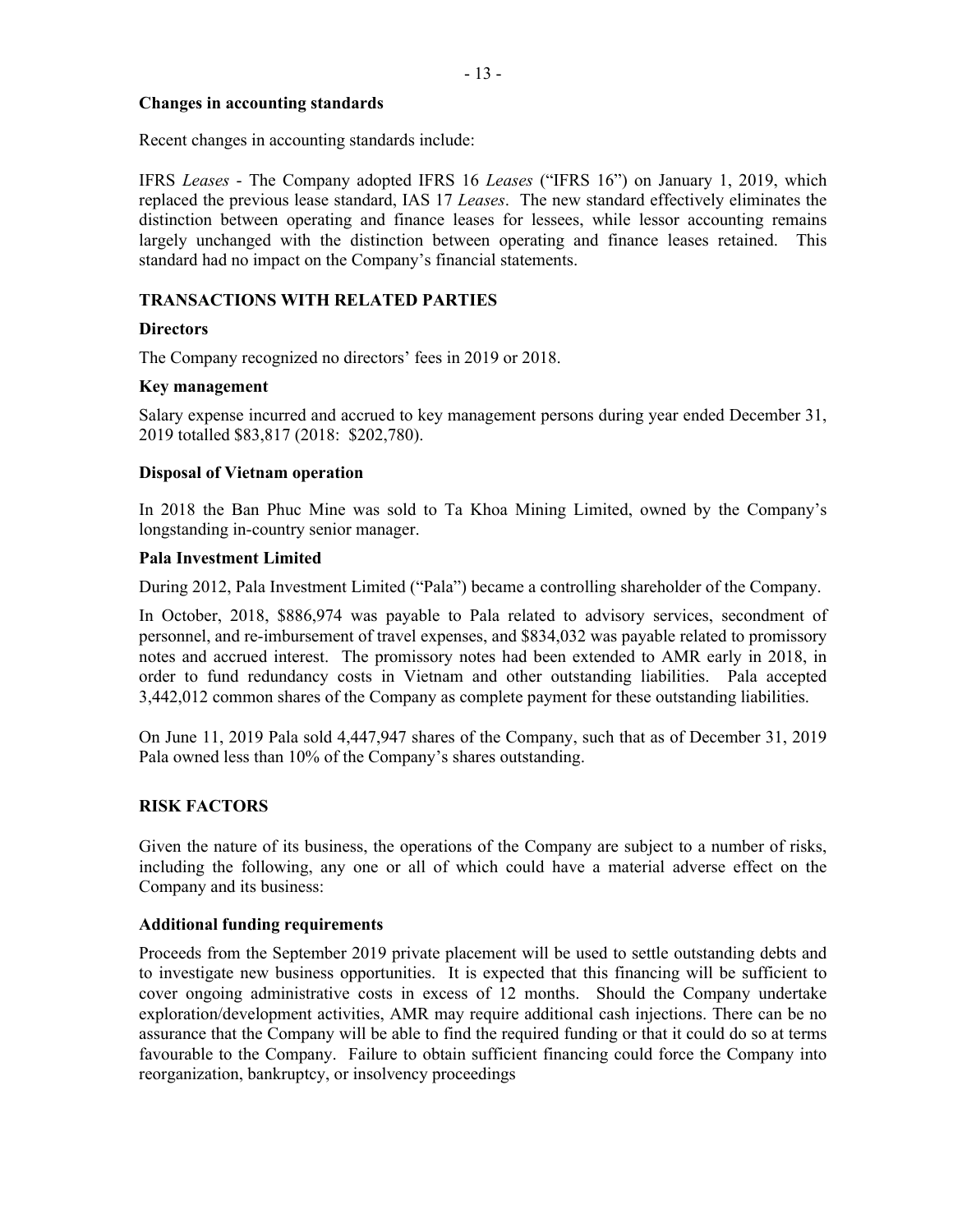#### **Changes in accounting standards**

Recent changes in accounting standards include:

IFRS *Leases* - The Company adopted IFRS 16 *Leases* ("IFRS 16") on January 1, 2019, which replaced the previous lease standard, IAS 17 *Leases*. The new standard effectively eliminates the distinction between operating and finance leases for lessees, while lessor accounting remains largely unchanged with the distinction between operating and finance leases retained. This standard had no impact on the Company's financial statements.

## **TRANSACTIONS WITH RELATED PARTIES**

#### **Directors**

The Company recognized no directors' fees in 2019 or 2018.

#### **Key management**

Salary expense incurred and accrued to key management persons during year ended December 31, 2019 totalled \$83,817 (2018: \$202,780).

#### **Disposal of Vietnam operation**

In 2018 the Ban Phuc Mine was sold to Ta Khoa Mining Limited, owned by the Company's longstanding in-country senior manager.

#### **Pala Investment Limited**

During 2012, Pala Investment Limited ("Pala") became a controlling shareholder of the Company.

In October, 2018, \$886,974 was payable to Pala related to advisory services, secondment of personnel, and re-imbursement of travel expenses, and \$834,032 was payable related to promissory notes and accrued interest. The promissory notes had been extended to AMR early in 2018, in order to fund redundancy costs in Vietnam and other outstanding liabilities. Pala accepted 3,442,012 common shares of the Company as complete payment for these outstanding liabilities.

On June 11, 2019 Pala sold 4,447,947 shares of the Company, such that as of December 31, 2019 Pala owned less than 10% of the Company's shares outstanding.

### **RISK FACTORS**

Given the nature of its business, the operations of the Company are subject to a number of risks, including the following, any one or all of which could have a material adverse effect on the Company and its business:

### **Additional funding requirements**

Proceeds from the September 2019 private placement will be used to settle outstanding debts and to investigate new business opportunities. It is expected that this financing will be sufficient to cover ongoing administrative costs in excess of 12 months. Should the Company undertake exploration/development activities, AMR may require additional cash injections. There can be no assurance that the Company will be able to find the required funding or that it could do so at terms favourable to the Company. Failure to obtain sufficient financing could force the Company into reorganization, bankruptcy, or insolvency proceedings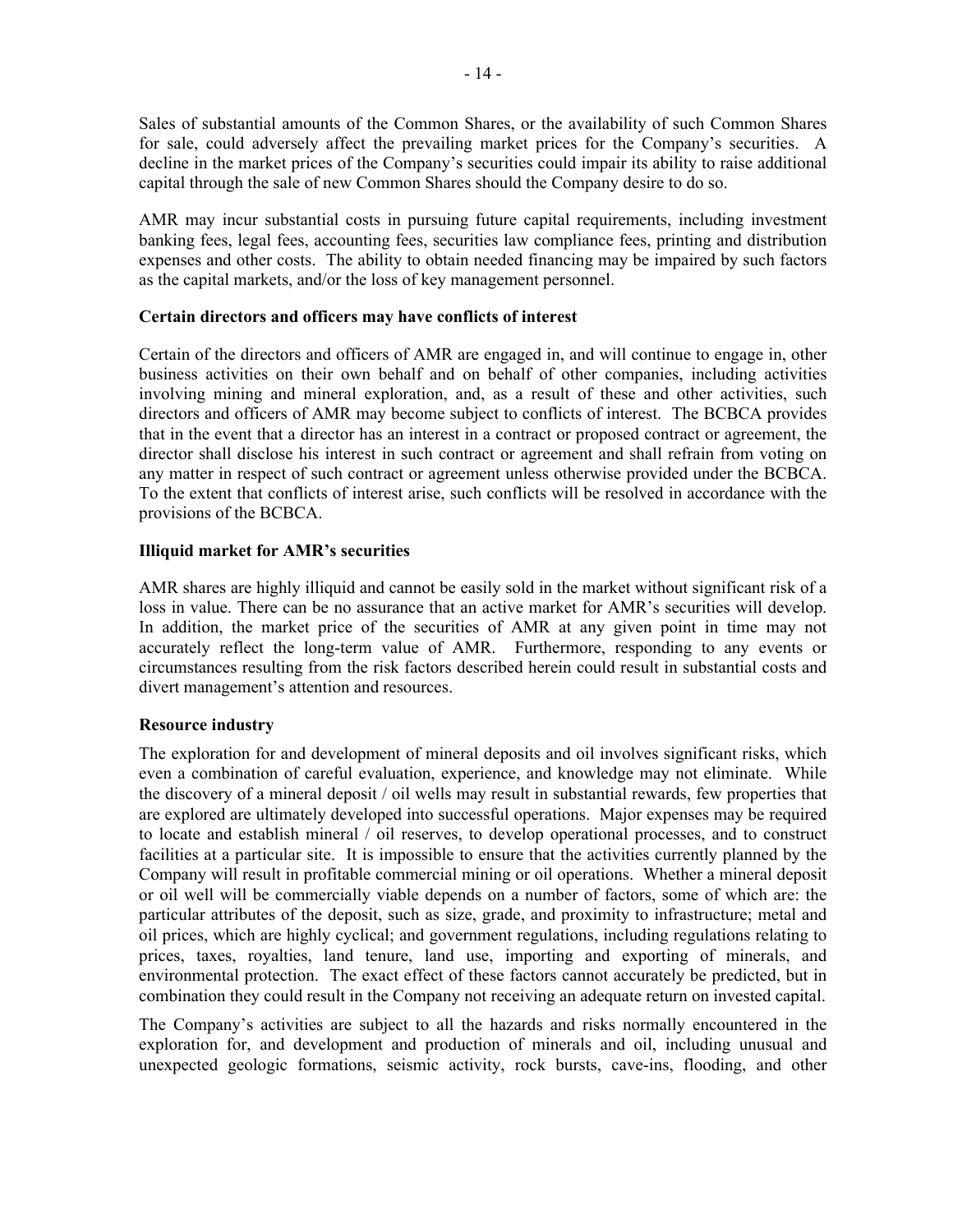Sales of substantial amounts of the Common Shares, or the availability of such Common Shares for sale, could adversely affect the prevailing market prices for the Company's securities. A decline in the market prices of the Company's securities could impair its ability to raise additional capital through the sale of new Common Shares should the Company desire to do so.

AMR may incur substantial costs in pursuing future capital requirements, including investment banking fees, legal fees, accounting fees, securities law compliance fees, printing and distribution expenses and other costs. The ability to obtain needed financing may be impaired by such factors as the capital markets, and/or the loss of key management personnel.

#### **Certain directors and officers may have conflicts of interest**

Certain of the directors and officers of AMR are engaged in, and will continue to engage in, other business activities on their own behalf and on behalf of other companies, including activities involving mining and mineral exploration, and, as a result of these and other activities, such directors and officers of AMR may become subject to conflicts of interest. The BCBCA provides that in the event that a director has an interest in a contract or proposed contract or agreement, the director shall disclose his interest in such contract or agreement and shall refrain from voting on any matter in respect of such contract or agreement unless otherwise provided under the BCBCA. To the extent that conflicts of interest arise, such conflicts will be resolved in accordance with the provisions of the BCBCA.

#### **Illiquid market for AMR's securities**

AMR shares are highly illiquid and cannot be easily sold in the market without significant risk of a loss in value. There can be no assurance that an active market for AMR's securities will develop. In addition, the market price of the securities of AMR at any given point in time may not accurately reflect the long-term value of AMR. Furthermore, responding to any events or circumstances resulting from the risk factors described herein could result in substantial costs and divert management's attention and resources.

### **Resource industry**

The exploration for and development of mineral deposits and oil involves significant risks, which even a combination of careful evaluation, experience, and knowledge may not eliminate. While the discovery of a mineral deposit / oil wells may result in substantial rewards, few properties that are explored are ultimately developed into successful operations. Major expenses may be required to locate and establish mineral / oil reserves, to develop operational processes, and to construct facilities at a particular site. It is impossible to ensure that the activities currently planned by the Company will result in profitable commercial mining or oil operations. Whether a mineral deposit or oil well will be commercially viable depends on a number of factors, some of which are: the particular attributes of the deposit, such as size, grade, and proximity to infrastructure; metal and oil prices, which are highly cyclical; and government regulations, including regulations relating to prices, taxes, royalties, land tenure, land use, importing and exporting of minerals, and environmental protection. The exact effect of these factors cannot accurately be predicted, but in combination they could result in the Company not receiving an adequate return on invested capital.

The Company's activities are subject to all the hazards and risks normally encountered in the exploration for, and development and production of minerals and oil, including unusual and unexpected geologic formations, seismic activity, rock bursts, cave-ins, flooding, and other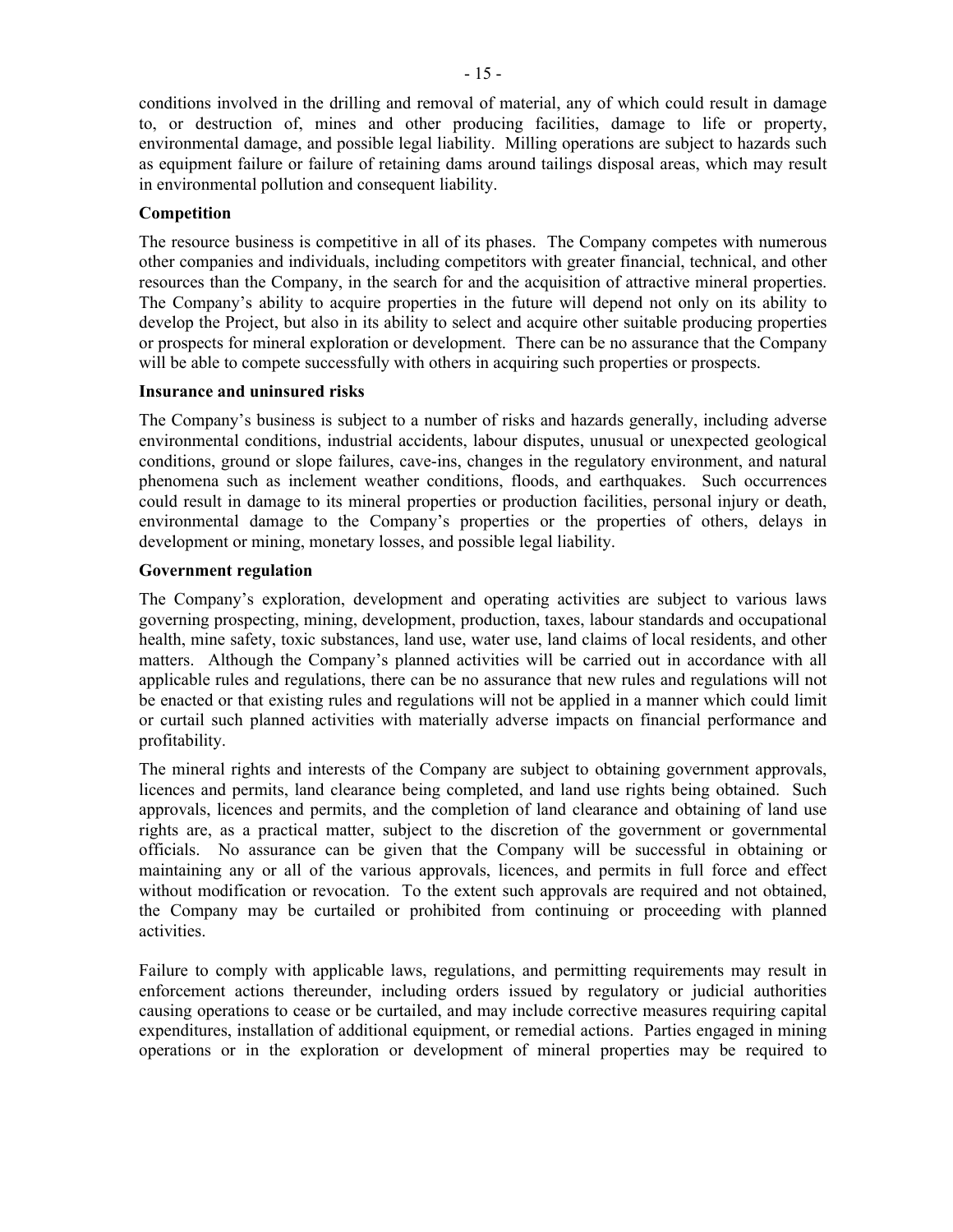conditions involved in the drilling and removal of material, any of which could result in damage to, or destruction of, mines and other producing facilities, damage to life or property, environmental damage, and possible legal liability. Milling operations are subject to hazards such as equipment failure or failure of retaining dams around tailings disposal areas, which may result in environmental pollution and consequent liability.

### **Competition**

The resource business is competitive in all of its phases. The Company competes with numerous other companies and individuals, including competitors with greater financial, technical, and other resources than the Company, in the search for and the acquisition of attractive mineral properties. The Company's ability to acquire properties in the future will depend not only on its ability to develop the Project, but also in its ability to select and acquire other suitable producing properties or prospects for mineral exploration or development. There can be no assurance that the Company will be able to compete successfully with others in acquiring such properties or prospects.

#### **Insurance and uninsured risks**

The Company's business is subject to a number of risks and hazards generally, including adverse environmental conditions, industrial accidents, labour disputes, unusual or unexpected geological conditions, ground or slope failures, cave-ins, changes in the regulatory environment, and natural phenomena such as inclement weather conditions, floods, and earthquakes. Such occurrences could result in damage to its mineral properties or production facilities, personal injury or death, environmental damage to the Company's properties or the properties of others, delays in development or mining, monetary losses, and possible legal liability.

#### **Government regulation**

The Company's exploration, development and operating activities are subject to various laws governing prospecting, mining, development, production, taxes, labour standards and occupational health, mine safety, toxic substances, land use, water use, land claims of local residents, and other matters. Although the Company's planned activities will be carried out in accordance with all applicable rules and regulations, there can be no assurance that new rules and regulations will not be enacted or that existing rules and regulations will not be applied in a manner which could limit or curtail such planned activities with materially adverse impacts on financial performance and profitability.

The mineral rights and interests of the Company are subject to obtaining government approvals, licences and permits, land clearance being completed, and land use rights being obtained. Such approvals, licences and permits, and the completion of land clearance and obtaining of land use rights are, as a practical matter, subject to the discretion of the government or governmental officials. No assurance can be given that the Company will be successful in obtaining or maintaining any or all of the various approvals, licences, and permits in full force and effect without modification or revocation. To the extent such approvals are required and not obtained, the Company may be curtailed or prohibited from continuing or proceeding with planned activities.

Failure to comply with applicable laws, regulations, and permitting requirements may result in enforcement actions thereunder, including orders issued by regulatory or judicial authorities causing operations to cease or be curtailed, and may include corrective measures requiring capital expenditures, installation of additional equipment, or remedial actions. Parties engaged in mining operations or in the exploration or development of mineral properties may be required to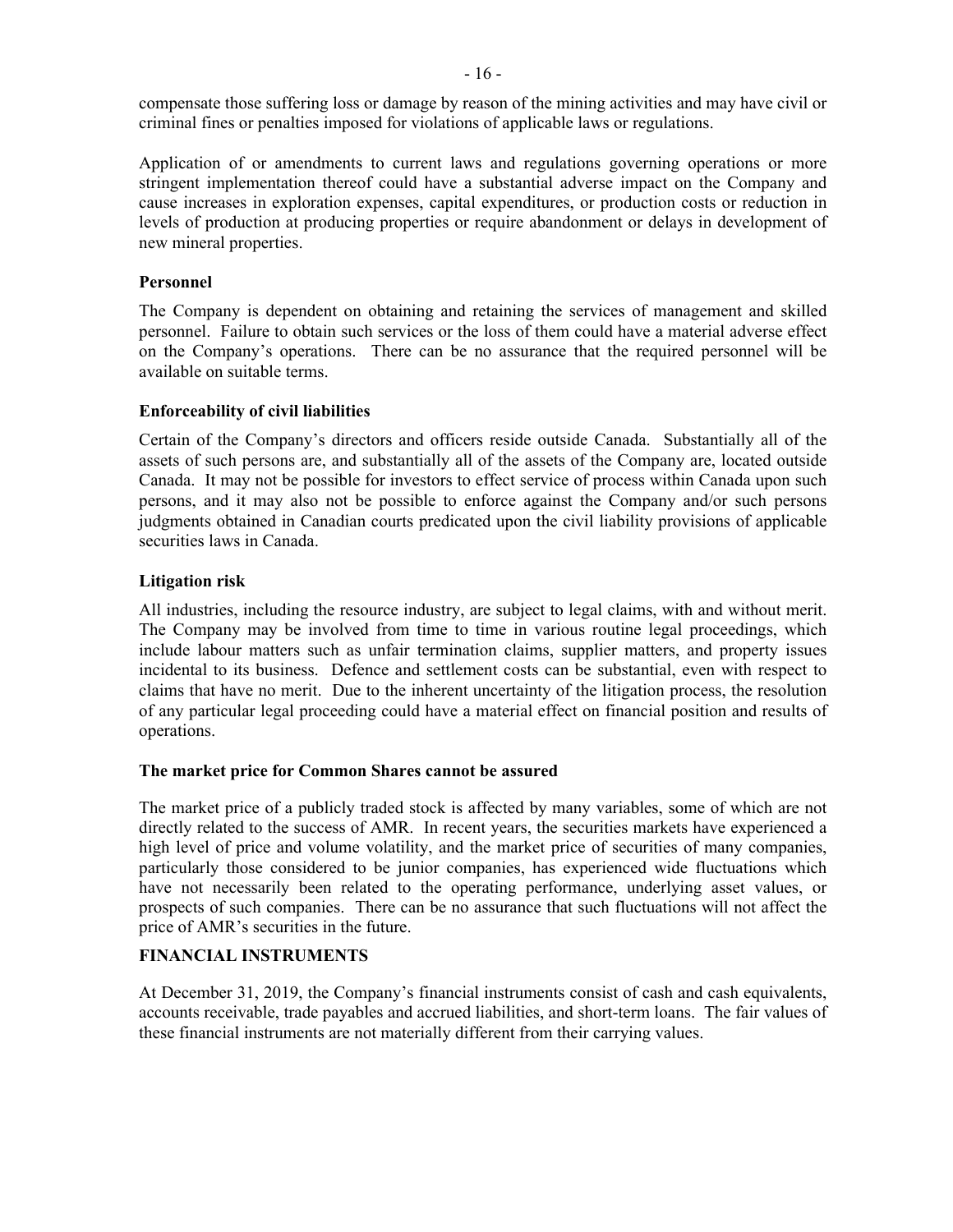compensate those suffering loss or damage by reason of the mining activities and may have civil or criminal fines or penalties imposed for violations of applicable laws or regulations.

Application of or amendments to current laws and regulations governing operations or more stringent implementation thereof could have a substantial adverse impact on the Company and cause increases in exploration expenses, capital expenditures, or production costs or reduction in levels of production at producing properties or require abandonment or delays in development of new mineral properties.

### **Personnel**

The Company is dependent on obtaining and retaining the services of management and skilled personnel. Failure to obtain such services or the loss of them could have a material adverse effect on the Company's operations. There can be no assurance that the required personnel will be available on suitable terms.

### **Enforceability of civil liabilities**

Certain of the Company's directors and officers reside outside Canada. Substantially all of the assets of such persons are, and substantially all of the assets of the Company are, located outside Canada. It may not be possible for investors to effect service of process within Canada upon such persons, and it may also not be possible to enforce against the Company and/or such persons judgments obtained in Canadian courts predicated upon the civil liability provisions of applicable securities laws in Canada.

### **Litigation risk**

All industries, including the resource industry, are subject to legal claims, with and without merit. The Company may be involved from time to time in various routine legal proceedings, which include labour matters such as unfair termination claims, supplier matters, and property issues incidental to its business. Defence and settlement costs can be substantial, even with respect to claims that have no merit. Due to the inherent uncertainty of the litigation process, the resolution of any particular legal proceeding could have a material effect on financial position and results of operations.

### **The market price for Common Shares cannot be assured**

The market price of a publicly traded stock is affected by many variables, some of which are not directly related to the success of AMR. In recent years, the securities markets have experienced a high level of price and volume volatility, and the market price of securities of many companies, particularly those considered to be junior companies, has experienced wide fluctuations which have not necessarily been related to the operating performance, underlying asset values, or prospects of such companies. There can be no assurance that such fluctuations will not affect the price of AMR's securities in the future.

### **FINANCIAL INSTRUMENTS**

At December 31, 2019, the Company's financial instruments consist of cash and cash equivalents, accounts receivable, trade payables and accrued liabilities, and short-term loans. The fair values of these financial instruments are not materially different from their carrying values.